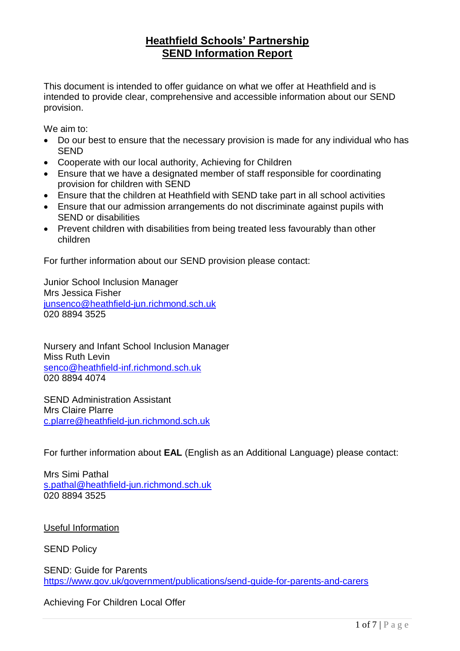# **Heathfield Schools' Partnership SEND Information Report**

This document is intended to offer guidance on what we offer at Heathfield and is intended to provide clear, comprehensive and accessible information about our SEND provision.

We aim to:

- Do our best to ensure that the necessary provision is made for any individual who has SEND
- Cooperate with our local authority, Achieving for Children
- Ensure that we have a designated member of staff responsible for coordinating provision for children with SEND
- Ensure that the children at Heathfield with SEND take part in all school activities
- Ensure that our admission arrangements do not discriminate against pupils with SEND or disabilities
- Prevent children with disabilities from being treated less favourably than other children

For further information about our SEND provision please contact:

Junior School Inclusion Manager Mrs Jessica Fisher [junsenco@heathfield-jun.richmond.sch.uk](mailto:j.fisher@heathfield-jun.richmond.sch.uk) 020 8894 3525

Nursery and Infant School Inclusion Manager Miss Ruth Levin [senco@heathfield-inf.richmond.sch.uk](mailto:senco@heathfield-inf.richmond.sch.uk) 020 8894 4074

SEND Administration Assistant Mrs Claire Plarre [c.plarre@heathfield-jun.richmond.sch.uk](mailto:c.plarre@heathfield-jun.richmond.sch.uk)

For further information about **EAL** (English as an Additional Language) please contact:

Mrs Simi Pathal [s.pathal@heathfield-jun.richmond.sch.uk](mailto:s.pathal@heathfield-jun.richmond.sch.uk) 020 8894 3525

Useful Information

SEND Policy

SEND: Guide for Parents <https://www.gov.uk/government/publications/send-guide-for-parents-and-carers>

Achieving For Children Local Offer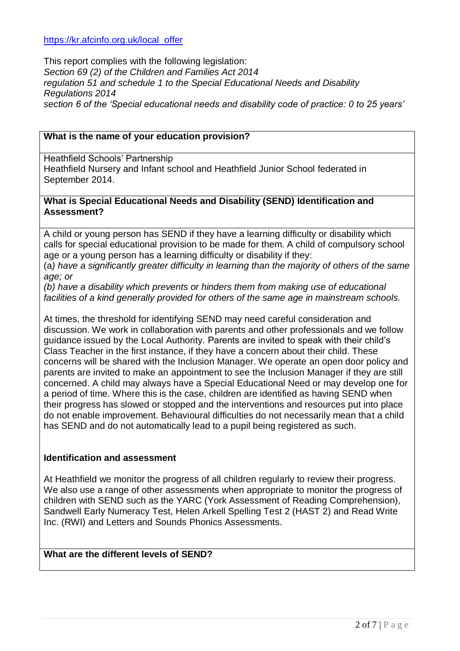[https://kr.afcinfo.org.uk/local\\_offer](https://kr.afcinfo.org.uk/local_offer)

This report complies with the following legislation: *Section 69 (2) of the Children and Families Act 2014 regulation 51 and schedule 1 to the Special Educational Needs and Disability Regulations 2014 section 6 of the 'Special educational needs and disability code of practice: 0 to 25 years'*

#### **What is the name of your education provision?**

Heathfield Schools' Partnership

Heathfield Nursery and Infant school and Heathfield Junior School federated in September 2014.

#### **What is Special Educational Needs and Disability (SEND) Identification and Assessment?**

A child or young person has SEND if they have a learning difficulty or disability which calls for special educational provision to be made for them. A child of compulsory school age or a young person has a learning difficulty or disability if they:

(a*) have a significantly greater difficulty in learning than the majority of others of the same age; or* 

*(b) have a disability which prevents or hinders them from making use of educational facilities of a kind generally provided for others of the same age in mainstream schools.* 

At times, the threshold for identifying SEND may need careful consideration and discussion. We work in collaboration with parents and other professionals and we follow guidance issued by the Local Authority. Parents are invited to speak with their child's Class Teacher in the first instance, if they have a concern about their child. These concerns will be shared with the Inclusion Manager. We operate an open door policy and parents are invited to make an appointment to see the Inclusion Manager if they are still concerned. A child may always have a Special Educational Need or may develop one for a period of time. Where this is the case, children are identified as having SEND when their progress has slowed or stopped and the interventions and resources put into place do not enable improvement. Behavioural difficulties do not necessarily mean that a child has SEND and do not automatically lead to a pupil being registered as such.

#### **Identification and assessment**

At Heathfield we monitor the progress of all children regularly to review their progress. We also use a range of other assessments when appropriate to monitor the progress of children with SEND such as the YARC (York Assessment of Reading Comprehension), Sandwell Early Numeracy Test, Helen Arkell Spelling Test 2 (HAST 2) and Read Write Inc. (RWI) and Letters and Sounds Phonics Assessments.

#### **What are the different levels of SEND?**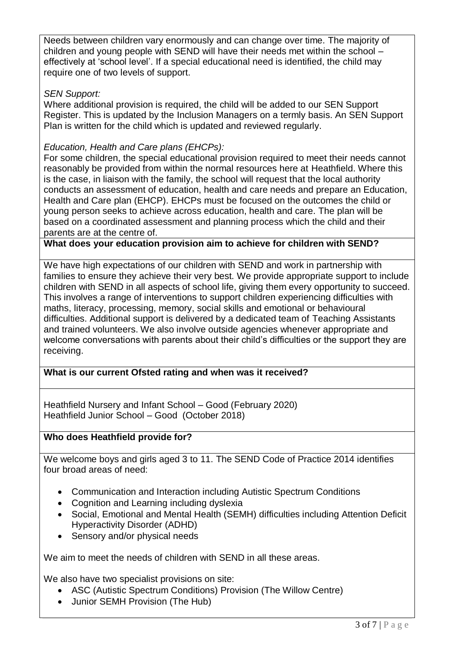Needs between children vary enormously and can change over time. The majority of children and young people with SEND will have their needs met within the school – effectively at 'school level'. If a special educational need is identified, the child may require one of two levels of support.

## *SEN Support:*

Where additional provision is required, the child will be added to our SEN Support Register. This is updated by the Inclusion Managers on a termly basis. An SEN Support Plan is written for the child which is updated and reviewed regularly.

## *Education, Health and Care plans (EHCPs):*

For some children, the special educational provision required to meet their needs cannot reasonably be provided from within the normal resources here at Heathfield. Where this is the case, in liaison with the family, the school will request that the local authority conducts an assessment of education, health and care needs and prepare an Education, Health and Care plan (EHCP). EHCPs must be focused on the outcomes the child or young person seeks to achieve across education, health and care. The plan will be based on a coordinated assessment and planning process which the child and their parents are at the centre of.

**What does your education provision aim to achieve for children with SEND?**

We have high expectations of our children with SEND and work in partnership with families to ensure they achieve their very best. We provide appropriate support to include children with SEND in all aspects of school life, giving them every opportunity to succeed. This involves a range of interventions to support children experiencing difficulties with maths, literacy, processing, memory, social skills and emotional or behavioural difficulties. Additional support is delivered by a dedicated team of Teaching Assistants and trained volunteers. We also involve outside agencies whenever appropriate and welcome conversations with parents about their child's difficulties or the support they are receiving.

### **What is our current Ofsted rating and when was it received?**

Heathfield Nursery and Infant School – Good (February 2020) Heathfield Junior School – Good (October 2018)

### **Who does Heathfield provide for?**

We welcome boys and girls aged 3 to 11. The SEND Code of Practice 2014 identifies four broad areas of need:

- Communication and Interaction including Autistic Spectrum Conditions
- Cognition and Learning including dyslexia
- Social, Emotional and Mental Health (SEMH) difficulties including Attention Deficit Hyperactivity Disorder (ADHD)
- Sensory and/or physical needs

We aim to meet the needs of children with SEND in all these areas.

We also have two specialist provisions on site:

- ASC (Autistic Spectrum Conditions) Provision (The Willow Centre)
- Junior SEMH Provision (The Hub)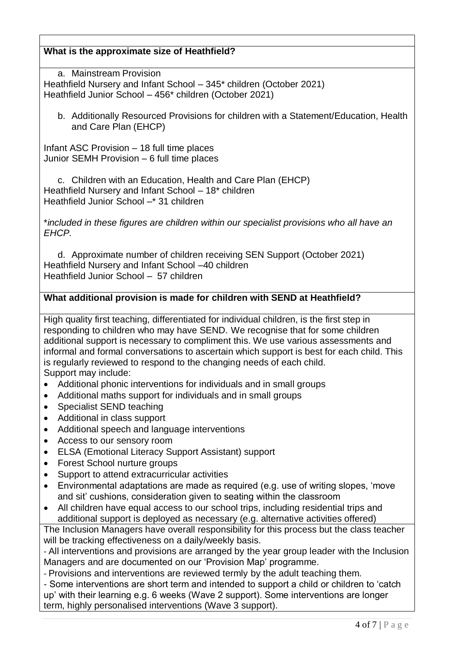## **What is the approximate size of Heathfield?**

a. Mainstream Provision Heathfield Nursery and Infant School – 345\* children (October 2021) Heathfield Junior School – 456\* children (October 2021)

b. Additionally Resourced Provisions for children with a Statement/Education, Health and Care Plan (EHCP)

Infant ASC Provision – 18 full time places Junior SEMH Provision – 6 full time places

c. Children with an Education, Health and Care Plan (EHCP) Heathfield Nursery and Infant School – 18\* children Heathfield Junior School –\* 31 children

\**included in these figures are children within our specialist provisions who all have an EHCP.*

d. Approximate number of children receiving SEN Support (October 2021) Heathfield Nursery and Infant School –40 children Heathfield Junior School – 57 children

### **What additional provision is made for children with SEND at Heathfield?**

High quality first teaching, differentiated for individual children, is the first step in responding to children who may have SEND. We recognise that for some children additional support is necessary to compliment this. We use various assessments and informal and formal conversations to ascertain which support is best for each child. This is regularly reviewed to respond to the changing needs of each child. Support may include:

- Additional phonic interventions for individuals and in small groups
- Additional maths support for individuals and in small groups
- Specialist SEND teaching
- Additional in class support
- Additional speech and language interventions
- Access to our sensory room
- ELSA (Emotional Literacy Support Assistant) support
- Forest School nurture groups
- Support to attend extracurricular activities
- Environmental adaptations are made as required (e.g. use of writing slopes, 'move and sit' cushions, consideration given to seating within the classroom
- All children have equal access to our school trips, including residential trips and additional support is deployed as necessary (e.g. alternative activities offered)

The Inclusion Managers have overall responsibility for this process but the class teacher will be tracking effectiveness on a daily/weekly basis.

- All interventions and provisions are arranged by the year group leader with the Inclusion Managers and are documented on our 'Provision Map' programme.

- Provisions and interventions are reviewed termly by the adult teaching them.

- Some interventions are short term and intended to support a child or children to 'catch up' with their learning e.g. 6 weeks (Wave 2 support). Some interventions are longer term, highly personalised interventions (Wave 3 support).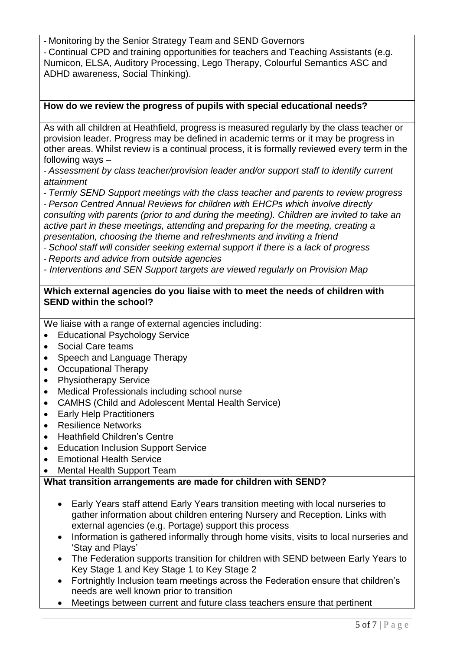- Monitoring by the Senior Strategy Team and SEND Governors - Continual CPD and training opportunities for teachers and Teaching Assistants (e.g. Numicon, ELSA, Auditory Processing, Lego Therapy, Colourful Semantics ASC and ADHD awareness, Social Thinking).

### **How do we review the progress of pupils with special educational needs?**

As with all children at Heathfield, progress is measured regularly by the class teacher or provision leader. Progress may be defined in academic terms or it may be progress in other areas. Whilst review is a continual process, it is formally reviewed every term in the following ways –

- *Assessment by class teacher/provision leader and/or support staff to identify current attainment*

- *Termly SEND Support meetings with the class teacher and parents to review progress*  - *Person Centred Annual Reviews for children with EHCPs which involve directly consulting with parents (prior to and during the meeting). Children are invited to take an active part in these meetings, attending and preparing for the meeting, creating a presentation, choosing the theme and refreshments and inviting a friend*

- *School staff will consider seeking external support if there is a lack of progress*

- *Reports and advice from outside agencies*

*- Interventions and SEN Support targets are viewed regularly on Provision Map*

#### **Which external agencies do you liaise with to meet the needs of children with SEND within the school?**

We liaise with a range of external agencies including:

- Educational Psychology Service
- Social Care teams
- Speech and Language Therapy
- Occupational Therapy
- Physiotherapy Service
- Medical Professionals including school nurse
- CAMHS (Child and Adolescent Mental Health Service)
- Early Help Practitioners
- Resilience Networks
- Heathfield Children's Centre
- Education Inclusion Support Service
- Emotional Health Service
- Mental Health Support Team

### **What transition arrangements are made for children with SEND?**

- Early Years staff attend Early Years transition meeting with local nurseries to gather information about children entering Nursery and Reception. Links with external agencies (e.g. Portage) support this process
- Information is gathered informally through home visits, visits to local nurseries and 'Stay and Plays'
- The Federation supports transition for children with SEND between Early Years to Key Stage 1 and Key Stage 1 to Key Stage 2
- Fortnightly Inclusion team meetings across the Federation ensure that children's needs are well known prior to transition
- Meetings between current and future class teachers ensure that pertinent